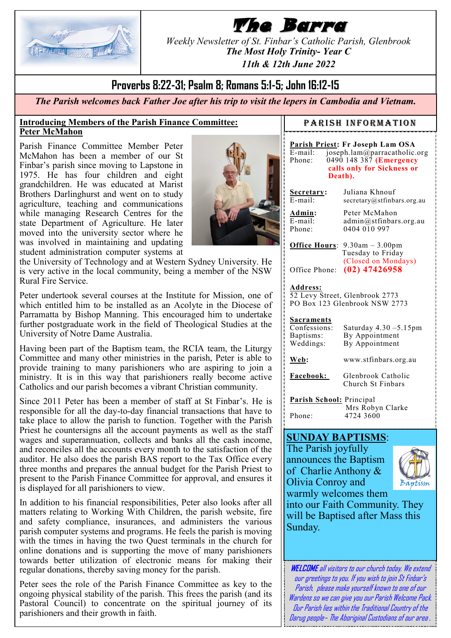

# **The Barra**

*Weekly Newsletter of St. Finbar's Catholic Parish, Glenbrook The Most Holy Trinity- Year C*

*11th & 12th June 2022*

## **Proverbs 8:22-31; Psalm 8; Romans 5:1-5; John 16:12-15**

*The Parish welcomes back Father Joe after his trip to visit the lepers in Cambodia and Vietnam.*

#### **Introducing Members of the Parish Finance Committee: Peter McMahon**

Parish Finance Committee Member Peter McMahon has been a member of our St Finbar's parish since moving to Lapstone in 1975. He has four children and eight grandchildren. He was educated at Marist Brothers Darlinghurst and went on to study agriculture, teaching and communications while managing Research Centres for the state Department of Agriculture. He later moved into the university sector where he was involved in maintaining and updating student administration computer systems at



the University of Technology and at Western Sydney University. He is very active in the local community, being a member of the NSW Rural Fire Service.

Peter undertook several courses at the Institute for Mission, one of which entitled him to be installed as an Acolyte in the Diocese of Parramatta by Bishop Manning. This encouraged him to undertake further postgraduate work in the field of Theological Studies at the University of Notre Dame Australia.

Having been part of the Baptism team, the RCIA team, the Liturgy Committee and many other ministries in the parish, Peter is able to provide training to many parishioners who are aspiring to join a ministry. It is in this way that parishioners really become active Catholics and our parish becomes a vibrant Christian community.

Since 2011 Peter has been a member of staff at St Finbar's. He is responsible for all the day-to-day financial transactions that have to take place to allow the parish to function. Together with the Parish Priest he countersigns all the account payments as well as the staff wages and superannuation, collects and banks all the cash income, and reconciles all the accounts every month to the satisfaction of the auditor. He also does the parish BAS report to the Tax Office every three months and prepares the annual budget for the Parish Priest to present to the Parish Finance Committee for approval, and ensures it is displayed for all parishioners to view.

In addition to his financial responsibilities, Peter also looks after all matters relating to Working With Children, the parish website, fire and safety compliance, insurances, and administers the various parish computer systems and programs. He feels the parish is moving with the times in having the two Quest terminals in the church for online donations and is supporting the move of many parishioners towards better utilization of electronic means for making their regular donations, thereby saving money for the parish.

Peter sees the role of the Parish Finance Committee as key to the ongoing physical stability of the parish. This frees the parish (and its Pastoral Council) to concentrate on the spiritual journey of its parishioners and their growth in faith.

#### PARISH INFORMATION

**Parish Priest: Fr Joseph Lam OSA** E-mail: joseph.lam@parracatholic.org Phone: 0490 148 387 **(Emergency calls only for Sickness or Death).**

**Secretary:** Juliana Khnouf E-mail: secretary@stfinbars.org.au

**Admin:** Peter McMahon  $\overline{E}$ -mail: admin@stfinbars.org.au<br>Phone: 0404 010 997  $0404010997$ 

**Office Hours**: 9.30am – 3.00pm Tuesday to Friday (Closed on Mondays) Office Phone: **(02) 47426958**

#### **Address:**

52 Levy Street, Glenbrook 2773 PO Box 123 Glenbrook NSW 2773

#### **Sacraments**

| Confessions:<br>Baptisms:<br>Weddings: | Saturday 4.30 -5.15pm<br>By Appointment<br>By Appointment |
|----------------------------------------|-----------------------------------------------------------|
| Web:                                   | www.stfinbars.org.au                                      |
| Facebook:                              | Glenbrook Catholic<br>Church St Finbars                   |

**Parish School:** Principal Mrs Robyn Clarke Phone: 4724 3600

### **SUNDAY BAPTISMS**:

The Parish joyfully announces the Baptism of Charlie Anthony & Olivia Conroy and warmly welcomes them



into our Faith Community. They will be Baptised after Mass this Sunday.

**WELCOME**all visitors to our church today. We extend our greetings to you. If you wish to join St Finbar's Parish, please make yourself known to one of our Wardens so we can give you our Parish Welcome Pack. Our Parish lies within the Traditional Country of the Darug people– The Aboriginal Custodians of our area *.*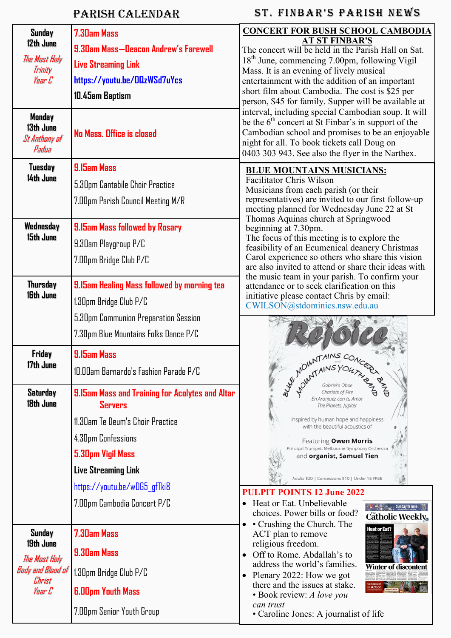# Parish Calendar

# ST. FINBAR'S PARISH NEWS

| Sunday<br>12th June                | 7.30am Mass                                                       | <b>CONCERT FOR BUSH SCHOOL CAMBODIA</b><br><b>AT ST FINBAR'S</b>                                             |  |  |
|------------------------------------|-------------------------------------------------------------------|--------------------------------------------------------------------------------------------------------------|--|--|
|                                    | 9.30am Mass-Deacon Andrew's Farewell                              | The concert will be held in the Parish Hall on Sat.                                                          |  |  |
| The Mast Haly<br>Trinity           | <b>Live Streaming Link</b>                                        | 18 <sup>th</sup> June, commencing 7.00pm, following Vigil                                                    |  |  |
| Year C                             | https://youtu.be/DQzWSd7uYcs                                      | Mass. It is an evening of lively musical<br>entertainment with the addition of an important                  |  |  |
|                                    | 10.45am Baptism                                                   | short film about Cambodia. The cost is \$25 per                                                              |  |  |
|                                    |                                                                   | person, \$45 for family. Supper will be available at                                                         |  |  |
| Monday<br>13th June                |                                                                   | interval, including special Cambodian soup. It will<br>be the $6th$ concert at St Finbar's in support of the |  |  |
| St Anthony of                      | No Mass, Office is closed                                         | Cambodian school and promises to be an enjoyable<br>night for all. To book tickets call Doug on              |  |  |
| Padua                              |                                                                   | 0403 303 943. See also the flyer in the Narthex.                                                             |  |  |
| Tuesday<br>14th June               | 9.15am Mass                                                       | <b>BLUE MOUNTAINS MUSICIANS:</b><br>Facilitator Chris Wilson                                                 |  |  |
|                                    | 5.30pm Cantabile Choir Practice                                   | Musicians from each parish (or their                                                                         |  |  |
|                                    | 7.00pm Parish Council Meeting M/R                                 | representatives) are invited to our first follow-up<br>meeting planned for Wednesday June 22 at St           |  |  |
| Wednesday                          | 9.15am Mass followed by Rosary                                    | Thomas Aquinas church at Springwood<br>beginning at 7.30pm.                                                  |  |  |
| 15th June                          | 9.30am Playgroup P/C                                              | The focus of this meeting is to explore the                                                                  |  |  |
|                                    |                                                                   | feasibility of an Ecumenical deanery Christmas<br>Carol experience so others who share this vision           |  |  |
|                                    | 7.00pm Bridge Club P/C                                            | are also invited to attend or share their ideas with<br>the music team in your parish. To confirm your       |  |  |
| <b>Thursday</b><br>16th June       | 9.15am Healing Mass followed by morning tea                       | attendance or to seek clarification on this<br>initiative please contact Chris by email:                     |  |  |
|                                    | 1.30pm Bridge Club P/C                                            | CWILSON@stdominics.nsw.edu.au                                                                                |  |  |
|                                    | 5.30pm Communion Preparation Session                              |                                                                                                              |  |  |
|                                    | 7.30pm Blue Mountains Folks Dance P/C                             |                                                                                                              |  |  |
| Friday                             | 9.15am Mass                                                       |                                                                                                              |  |  |
| 17th June                          | 10.00am Barnardo's Fashion Parade P/C                             | WOWNTAINS COM                                                                                                |  |  |
|                                    |                                                                   | $E_{\vec{P}}$                                                                                                |  |  |
| Saturday<br>18th June              | 9.15am Mass and Training for Acolytes and Altar<br><b>Servers</b> | En Aranjuez con tu Amor<br>The Planets: Jupiter                                                              |  |  |
|                                    | 11.30am Te Deum's Choir Practice                                  | Inspired by human hope and happiness                                                                         |  |  |
|                                    | 4.30pm Confessions                                                | with the beautiful acoustics of<br>Featuring Owen Morris                                                     |  |  |
|                                    | 5.30pm Vigil Mass                                                 | Principal Trumpet, Melbourne Symphony Orchestra<br>and organist, Samuel Tien                                 |  |  |
|                                    | <b>Live Streaming Link</b>                                        | Adults \$20   Concessions \$10   Under 15 FREE                                                               |  |  |
|                                    | https://youtu.be/wDG5_gfTki8                                      | <b>FPOINTS 12 June 2022</b>                                                                                  |  |  |
|                                    | 7.00pm Cambodia Concert P/C                                       | Heat or Eat. Unbelievable<br>WALK Milk Stranger Sunday 19 June                                               |  |  |
|                                    |                                                                   | choices. Power bills or food?<br>Catholic Weekly.                                                            |  |  |
| Sunday                             | 7.30am Mass                                                       | • Crushing the Church. The<br><b>Heat or Eat?</b><br>ACT plan to remove                                      |  |  |
| 19th June<br>The Mast Haly         | <b>9.30am Mass</b>                                                | religious freedom.<br>• Off to Rome. Abdallah's to                                                           |  |  |
| <b>Body and Blood of</b><br>Christ | 1.30pm Bridge Club P/C                                            | address the world's families.<br>Winter of discontent<br>Plenary 2022: How we got                            |  |  |
| Year C                             | <b>6.00pm Youth Mass</b>                                          | there and the issues at stake.<br>· Book review: A love you                                                  |  |  |
|                                    | 7.00pm Senior Youth Group                                         | can trust<br>• Caroline Jones: A journalist of life                                                          |  |  |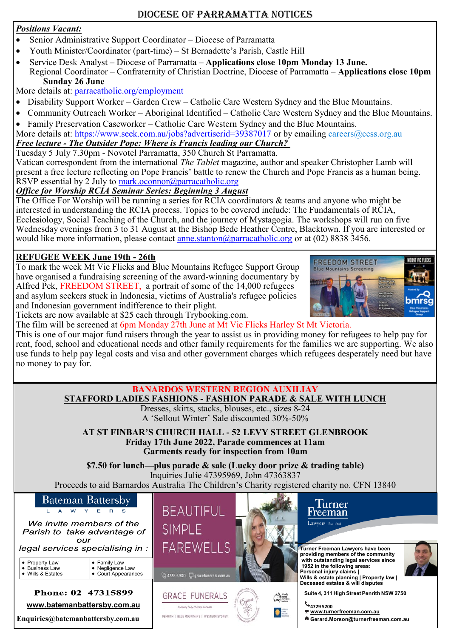#### *Positions Vacant:*

- Senior Administrative Support Coordinator Diocese of Parramatta
- Youth Minister/Coordinator (part-time) St Bernadette's Parish, Castle Hill
- Service Desk Analyst Diocese of Parramatta **Applications close 10pm Monday 13 June.** Regional Coordinator – Confraternity of Christian Doctrine, Diocese of Parramatta – **Applications close 10pm Sunday 26 June**

More details at: [parracatholic.org/employment](http://parracatholic.org/employment)

- Disability Support Worker Garden Crew Catholic Care Western Sydney and the Blue Mountains.
- Community Outreach Worker Aboriginal Identified Catholic Care Western Sydney and the Blue Mountains.
- Family Preservation Caseworker Catholic Care Western Sydney and the Blue Mountains.

More details at: <https://www.seek.com.au/jobs?advertiserid=39387017> or by emailing [careers@ccss.org.au](mailto:careers@ccss.org.au) *Free lecture - The Outsider Pope: Where is Francis leading our Church?*

Tuesday 5 July 7.30pm - Novotel Parramatta, 350 Church St Parramatta.

Vatican correspondent from the international *The Tablet* magazine, author and speaker Christopher Lamb will present a free lecture reflecting on Pope Francis' battle to renew the Church and Pope Francis as a human being. RSVP essential by 2 July to  $mark.oconnor@parracatholic.org$ 

### *Office for Worship RCIA Seminar Series: Beginning 3 August*

The Office For Worship will be running a series for RCIA coordinators & teams and anyone who might be interested in understanding the RCIA process. Topics to be covered include: The Fundamentals of RCIA, Ecclesiology, Social Teaching of the Church, and the journey of Mystagogia. The workshops will run on five Wednesday evenings from 3 to 31 August at the Bishop Bede Heather Centre, Blacktown. If you are interested or would like more information, please contact [anne.stanton@parracatholic.org](mailto:anne.stanton@parracatholic.org) or at (02) 8838 3456.

### **REFUGEE WEEK June 19th - 26th**

To mark the week Mt Vic Flicks and Blue Mountains Refugee Support Group have organised a fundraising screening of the award-winning documentary by Alfred Pek, FREEDOM STREET, a portrait of some of the 14,000 refugees and asylum seekers stuck in Indonesia, victims of Australia's refugee policies and Indonesian government indifference to their plight.



Tickets are now available at \$25 each through Trybooking.com.

The film will be screened at 6pm Monday 27th June at Mt Vic Flicks Harley St Mt Victoria. This is one of our major fund raisers through the year to assist us in providing money for refugees to help pay for rent, food, school and educational needs and other family requirements for the families we are supporting. We also use funds to help pay legal costs and visa and other government charges which refugees desperately need but have no money to pay for.

### **BANARDOS WESTERN REGION AUXILIAY**

**STAFFORD LADIES FASHIONS - FASHION PARADE & SALE WITH LUNCH**

Dresses, skirts, stacks, blouses, etc., sizes 8-24 A 'Sellout Winter' Sale discounted 30%-50%

**AT ST FINBAR'S CHURCH HALL - 52 LEVY STREET GLENBROOK Friday 17th June 2022, Parade commences at 11am Garments ready for inspection from 10am**

**\$7.50 for lunch—plus parade & sale (Lucky door prize & trading table)** Inquiries Julie 47395969, John 47363837 Proceeds to aid Barnardos Australia The Children's Charity registered charity no. CFN 13840



We invite members of the Parish to take advantage of our

legal services specialising in :

urt Appearances

| • Property Law              | $\bullet$ Family Law  |
|-----------------------------|-----------------------|
| • Business Law              | ● Negligence Law      |
| $\bullet\,$ Wills & Estates | <b>Court Appearan</b> |

Phone: 02 47315899 **www.batemanbattersby.com.au Enquiries@batemanbattersby.com.au**



**GRACE FUNERALS** 

**Engrado Lado of Grana Forecal** 

PENRITH | BLUE MOUNTAINS | WESTERN SYDNE







**Deceased estates & will disputes Suite 4, 311 HighStreet Penrith NSW 2750**

**4729 5200**

 **[www.turnerfreeman.com.au](http://www.turnerfreeman.com.au/)** 

 **Gerard.Morson@turnerfreeman.com.au**